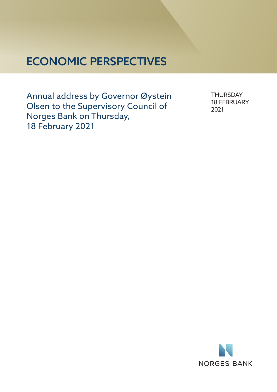# ECONOMIC PERSPECTIVES

Annual address by Governor Øystein Olsen to the Supervisory Council of Norges Bank on Thursday, 18 February 2021

**THURSDAY** 18 FEBRUARY 2021

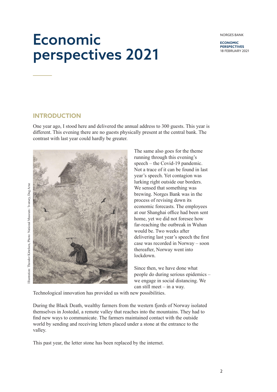**ECONOMIC PERSPECTIVES** 18 FEBRUARY 2021

# Economic perspectives 2021

### **INTRODUCTION**

One year ago, I stood here and delivered the annual address to 300 guests. This year is different. This evening there are no guests physically present at the central bank. The contrast with last year could hardly be greater.





The same also goes for the theme running through this evening's speech – the Covid-19 pandemic. Not a trace of it can be found in last year's speech. Yet contagion was lurking right outside our borders. We sensed that something was brewing. Norges Bank was in the process of revising down its economic forecasts. The employees at our Shanghai office had been sent home, yet we did not foresee how far-reaching the outbreak in Wuhan would be. Two weeks after delivering last year's speech the first case was recorded in Norway – soon thereafter, Norway went into lockdown.

Since then, we have done what people do during serious epidemics – we engage in social distancing. We can still meet – in a way.

Technological innovation has provided us with new possibilities.

During the Black Death, wealthy farmers from the western fjords of Norway isolated themselves in Jostedal, a remote valley that reaches into the mountains. They had to find new ways to communicate. The farmers maintained contact with the outside world by sending and receiving letters placed under a stone at the entrance to the valley.

This past year, the letter stone has been replaced by the internet.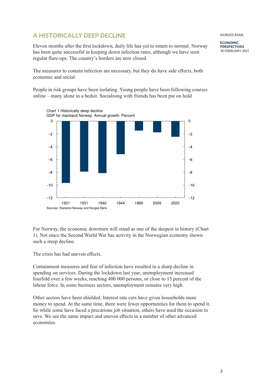# **A HISTORICALLY DEEP DECLINE**

Eleven months after the first lockdown, daily life has yet to return to normal. Norway has been quite successful in keeping down infection rates, although we have seen regular flare-ups. The country's borders are now closed.

The measures to contain infection are necessary, but they do have side effects, both economic and social.

People in risk groups have been isolating. Young people have been following courses online – many alone in a bedsit. Socialising with friends has been put on hold



For Norway, the economic downturn will stand as one of the deepest in history (Chart 1). Not since the Second World War has activity in the Norwegian economy shown such a steep decline.

The crisis has had uneven effects.

Containment measures and fear of infection have resulted in a sharp decline in spending on services. During the lockdown last year, unemployment increased fourfold over a few weeks, reaching 400 000 persons, or close to 15 percent of the labour force. In some business sectors, unemployment remains very high.

Other sectors have been shielded. Interest rate cuts have given households more money to spend. At the same time, there were fewer opportunities for them to spend it. So while some have faced a precarious job situation, others have used the occasion to save. We see the same impact and uneven effects in a number of other advanced economies.

NORGES BANK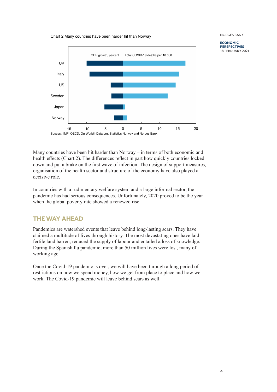Chart 2 Many countries have been harder hit than Norway



NORGES BANK **ECONOMIC**

**PERSPECTIVES** 18 FEBRUARY 2021

Many countries have been hit harder than Norway – in terms of both economic and health effects (Chart 2). The differences reflect in part how quickly countries locked down and put a brake on the first wave of infection. The design of support measures, organisation of the health sector and structure of the economy have also played a decisive role.

In countries with a rudimentary welfare system and a large informal sector, the pandemic has had serious consequences. Unfortunately, 2020 proved to be the year when the global poverty rate showed a renewed rise.

# **THE WAY AHEAD**

Pandemics are watershed events that leave behind long-lasting scars. They have claimed a multitude of lives through history. The most devastating ones have laid fertile land barren, reduced the supply of labour and entailed a loss of knowledge. During the Spanish flu pandemic, more than 50 million lives were lost, many of working age.

Once the Covid-19 pandemic is over, we will have been through a long period of restrictions on how we spend money, how we get from place to place and how we work. The Covid-19 pandemic will leave behind scars as well.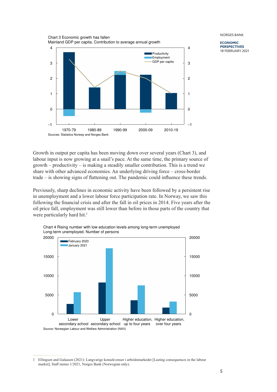

**ECONOMIC PERSPECTIVES** 18 FEBRUARY 2021

Growth in output per capita has been moving down over several years (Chart 3), and labour input is now growing at a snail's pace. At the same time, the primary source of growth – productivity – is making a steadily smaller contribution. This is a trend we share with other advanced economies. An underlying driving force – cross-border trade – is showing signs of flattening out. The pandemic could influence these trends.

Previously, sharp declines in economic activity have been followed by a persistent rise in unemployment and a lower labour force participation rate. In Norway, we saw this following the financial crisis and after the fall in oil prices in 2014. Five years after the oil price fall, employment was still lower than before in those parts of the country that were particularly hard hit.<sup>1</sup>



Chart 4 Rising number with low education levels among long-term unemployed Long-term unemployed. Number of persons

<sup>1</sup> Ellingsen and Galaasen (2021): Langvarige konsekvenser i arbeidsmarkedet [Lasting consequences in the labour market], Staff memo 1/2021, Norges Bank (Norwegian only).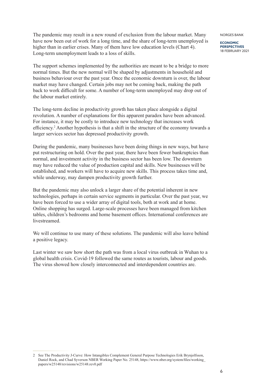The pandemic may result in a new round of exclusion from the labour market. Many have now been out of work for a long time, and the share of long-term unemployed is higher than in earlier crises. Many of them have low education levels (Chart 4). Long-term unemployment leads to a loss of skills.

The support schemes implemented by the authorities are meant to be a bridge to more normal times. But the new normal will be shaped by adjustments in household and business behaviour over the past year. Once the economic downturn is over, the labour market may have changed. Certain jobs may not be coming back, making the path back to work difficult for some. A number of long-term unemployed may drop out of the labour market entirely.

The long-term decline in productivity growth has taken place alongside a digital revolution. A number of explanations for this apparent paradox have been advanced. For instance, it may be costly to introduce new technology that increases work efficiency.<sup>2</sup> Another hypothesis is that a shift in the structure of the economy towards a larger services sector has depressed productivity growth.

During the pandemic, many businesses have been doing things in new ways, but have put restructuring on hold. Over the past year, there have been fewer bankruptcies than normal, and investment activity in the business sector has been low. The downturn may have reduced the value of production capital and skills. New businesses will be established, and workers will have to acquire new skills. This process takes time and, while underway, may dampen productivity growth further.

But the pandemic may also unlock a larger share of the potential inherent in new technologies, perhaps in certain service segments in particular. Over the past year, we have been forced to use a wider array of digital tools, both at work and at home. Online shopping has surged. Large-scale processes have been managed from kitchen tables, children's bedrooms and home basement offices. International conferences are livestreamed.

We will continue to use many of these solutions. The pandemic will also leave behind a positive legacy.

Last winter we saw how short the path was from a local virus outbreak in Wuhan to a global health crisis. Covid-19 followed the same routes as tourists, labour and goods. The virus showed how closely interconnected and interdependent countries are.

NORGES BANK

<sup>2</sup> See The Productivity J-Curve: How Intangibles Complement General Purpose Technologies Erik Brynjolfsson, Daniel Rock, and Chad Syverson NBER Working Paper No. 25148, https://www.nber.org/system/files/working\_ papers/w25148/revisions/w25148.rev0.pdf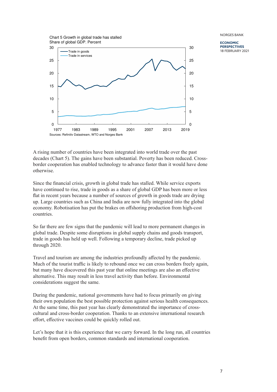

**ECONOMIC PERSPECTIVES** 18 FEBRUARY 2021

A rising number of countries have been integrated into world trade over the past decades (Chart 5). The gains have been substantial. Poverty has been reduced. Crossborder cooperation has enabled technology to advance faster than it would have done otherwise.

Since the financial crisis, growth in global trade has stalled. While service exports have continued to rise, trade in goods as a share of global GDP has been more or less flat in recent years because a number of sources of growth in goods trade are drying up. Large countries such as China and India are now fully integrated into the global economy. Robotisation has put the brakes on offshoring production from high-cost countries.

So far there are few signs that the pandemic will lead to more permanent changes in global trade. Despite some disruptions in global supply chains and goods transport, trade in goods has held up well. Following a temporary decline, trade picked up through 2020.

Travel and tourism are among the industries profoundly affected by the pandemic. Much of the tourist traffic is likely to rebound once we can cross borders freely again, but many have discovered this past year that online meetings are also an effective alternative. This may result in less travel activity than before. Environmental considerations suggest the same.

During the pandemic, national governments have had to focus primarily on giving their own population the best possible protection against serious health consequences. At the same time, this past year has clearly demonstrated the importance of crosscultural and cross-border cooperation. Thanks to an extensive international research effort, effective vaccines could be quickly rolled out.

Let's hope that it is this experience that we carry forward. In the long run, all countries benefit from open borders, common standards and international cooperation.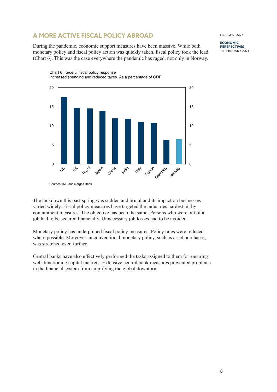# **A MORE ACTIVE FISCAL POLICY ABROAD**

During the pandemic, economic support measures have been massive. While both monetary policy and fiscal policy action was quickly taken, fiscal policy took the lead (Chart 6). This was the case everywhere the pandemic has raged, not only in Norway.

 $\mathcal{S}$  $\forall$ Brazil Japan China **India ITaly** France Germany **Norway**  $\Omega$ 5 10 15 20  $\Omega$ 5 10 15 20

Chart 6 Forceful fiscal policy response Increased spending and reduced taxes. As a percentage of GDP

The lockdown this past spring was sudden and brutal and its impact on businesses varied widely. Fiscal policy measures have targeted the industries hardest hit by containment measures. The objective has been the same: Persons who were out of a job had to be secured financially. Unnecessary job losses had to be avoided.

Monetary policy has underpinned fiscal policy measures. Policy rates were reduced where possible. Moreover, unconventional monetary policy, such as asset purchases, was stretched even further.

Central banks have also effectively performed the tasks assigned to them for ensuring well-functioning capital markets. Extensive central bank measures prevented problems in the financial system from amplifying the global downturn.

**PERSPECTIVES** 18 FEBRUARY 2021

#### NORGES BANK

**ECONOMIC**

Sources: IMF and Norges Bank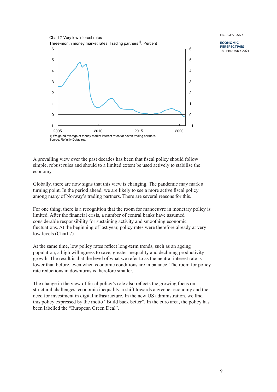

**ECONOMIC PERSPECTIVES** 18 FEBRUARY 2021

A prevailing view over the past decades has been that fiscal policy should follow simple, robust rules and should to a limited extent be used actively to stabilise the economy.

Globally, there are now signs that this view is changing. The pandemic may mark a turning point. In the period ahead, we are likely to see a more active fiscal policy among many of Norway's trading partners. There are several reasons for this.

For one thing, there is a recognition that the room for manoeuvre in monetary policy is limited. After the financial crisis, a number of central banks have assumed considerable responsibility for sustaining activity and smoothing economic fluctuations. At the beginning of last year, policy rates were therefore already at very low levels (Chart 7).

At the same time, low policy rates reflect long-term trends, such as an ageing population, a high willingness to save, greater inequality and declining productivity growth. The result is that the level of what we refer to as the neutral interest rate is lower than before, even when economic conditions are in balance. The room for policy rate reductions in downturns is therefore smaller.

The change in the view of fiscal policy's role also reflects the growing focus on structural challenges: economic inequality, a shift towards a greener economy and the need for investment in digital infrastructure. In the new US administration, we find this policy expressed by the motto "Build back better". In the euro area, the policy has been labelled the "European Green Deal".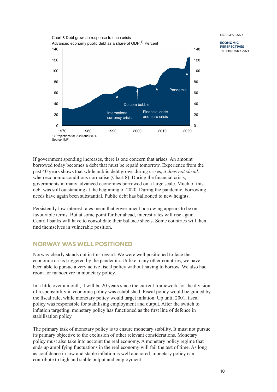

**ECONOMIC PERSPECTIVES** 18 FEBRUARY 2021

If government spending increases, there is one concern that arises. An amount borrowed today becomes a debt that must be repaid tomorrow. Experience from the past 40 years shows that while public debt grows during crises, *it does not shrink* when economic conditions normalise (Chart 8). During the financial crisis, governments in many advanced economies borrowed on a large scale. Much of this debt was still outstanding at the beginning of 2020. During the pandemic, borrowing needs have again been substantial. Public debt has ballooned to new heights.

Persistently low interest rates mean that government borrowing appears to be on favourable terms. But at some point further ahead, interest rates will rise again. Central banks will have to consolidate their balance sheets. Some countries will then find themselves in vulnerable position.

# **NORWAY WAS WELL POSITIONED**

Norway clearly stands out in this regard. We were well positioned to face the economic crisis triggered by the pandemic. Unlike many other countries, we have been able to pursue a very active fiscal policy without having to borrow. We also had room for manoeuvre in monetary policy.

In a little over a month, it will be 20 years since the current framework for the division of responsibility in economic policy was established. Fiscal policy would be guided by the fiscal rule, while monetary policy would target inflation. Up until 2001, fiscal policy was responsible for stabilising employment and output. After the switch to inflation targeting, monetary policy has functioned as the first line of defence in stabilisation policy.

The primary task of monetary policy is to ensure monetary stability. It must not pursue its primary objective to the exclusion of other relevant considerations. Monetary policy must also take into account the real economy. A monetary policy regime that ends up amplifying fluctuations in the real economy will fail the test of time. As long as confidence in low and stable inflation is well anchored, monetary policy can contribute to high and stable output and employment.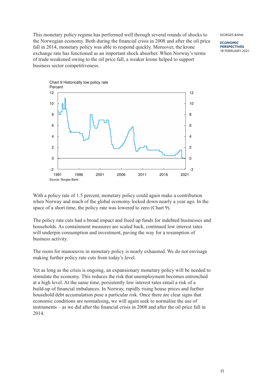**ECONOMIC PERSPECTIVES** 18 FEBRUARY 2021

This monetary policy regime has performed well through several rounds of shocks to the Norwegian economy. Both during the financial crisis in 2008 and after the oil price fall in 2014, monetary policy was able to respond quickly. Moreover, the krone exchange rate has functioned as an important shock absorber. When Norway's terms of trade weakened owing to the oil price fall, a weaker krone helped to support business sector competitiveness.



With a policy rate of 1.5 percent, monetary policy could again make a contribution when Norway and much of the global economy locked down nearly a year ago. In the space of a short time, the policy rate was lowered to zero (Chart 9).

The policy rate cuts had a broad impact and freed up funds for indebted businesses and households. As containment measures are scaled back, continued low interest rates will underpin consumption and investment, paving the way for a resumption of business activity.

The room for manoeuvre in monetary policy is nearly exhausted. We do not envisage making further policy rate cuts from today's level.

Yet as long as the crisis is ongoing, an expansionary monetary policy will be needed to stimulate the economy. This reduces the risk that unemployment becomes entrenched at a high level. At the same time, persistently low interest rates entail a risk of a build-up of financial imbalances. In Norway, rapidly rising house prices and further household debt accumulation pose a particular risk. Once there are clear signs that economic conditions are normalising, we will again seek to normalise the use of instruments – as we did after the financial crisis in 2008 and after the oil price fall in 2014.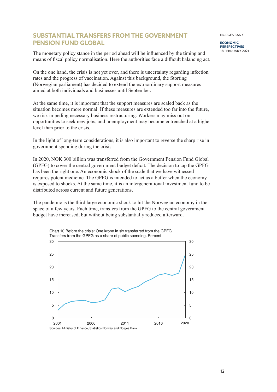## **SUBSTANTIAL TRANSFERS FROM THE GOVERNMENT PENSION FUND GLOBAL**

The monetary policy stance in the period ahead will be influenced by the timing and means of fiscal policy normalisation. Here the authorities face a difficult balancing act.

On the one hand, the crisis is not yet over, and there is uncertainty regarding infection rates and the progress of vaccination. Against this background, the Storting (Norwegian parliament) has decided to extend the extraordinary support measures aimed at both individuals and businesses until September.

At the same time, it is important that the support measures are scaled back as the situation becomes more normal. If these measures are extended too far into the future, we risk impeding necessary business restructuring. Workers may miss out on opportunities to seek new jobs, and unemployment may become entrenched at a higher level than prior to the crisis.

In the light of long-term considerations, it is also important to reverse the sharp rise in government spending during the crisis.

In 2020, NOK 300 billion was transferred from the Government Pension Fund Global (GPFG) to cover the central government budget deficit. The decision to tap the GPFG has been the right one. An economic shock of the scale that we have witnessed requires potent medicine. The GPFG is intended to act as a buffer when the economy is exposed to shocks. At the same time, it is an intergenerational investment fund to be distributed across current and future generations.

The pandemic is the third large economic shock to hit the Norwegian economy in the space of a few years. Each time, transfers from the GPFG to the central government budget have increased, but without being substantially reduced afterward.



12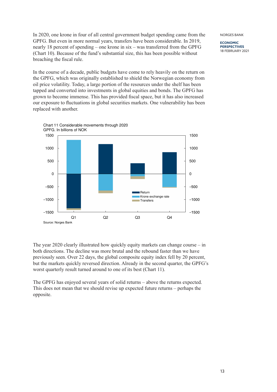**ECONOMIC PERSPECTIVES** 18 FEBRUARY 2021

In 2020, one krone in four of all central government budget spending came from the GPFG. But even in more normal years, transfers have been considerable. In 2019, nearly 18 percent of spending – one krone in six – was transferred from the GPFG (Chart 10). Because of the fund's substantial size, this has been possible without breaching the fiscal rule.

In the course of a decade, public budgets have come to rely heavily on the return on the GPFG, which was originally established to shield the Norwegian economy from oil price volatility. Today, a large portion of the resources under the shelf has been tapped and converted into investments in global equities and bonds. The GPFG has grown to become immense. This has provided fiscal space, but it has also increased our exposure to fluctuations in global securities markets. One vulnerability has been replaced with another.



Chart 11 Considerable movements through 2020 GPFG. In billions of NOK

The year 2020 clearly illustrated how quickly equity markets can change course – in both directions. The decline was more brutal and the rebound faster than we have previously seen. Over 22 days, the global composite equity index fell by 20 percent, but the markets quickly reversed direction. Already in the second quarter, the GPFG's worst quarterly result turned around to one of its best (Chart 11).

The GPFG has enjoyed several years of solid returns – above the returns expected. This does not mean that we should revise up expected future returns – perhaps the opposite.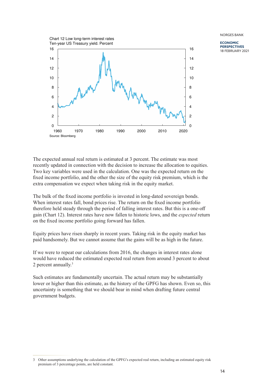**ECONOMIC PERSPECTIVES** 18 FEBRUARY 2021



The expected annual real return is estimated at 3 percent. The estimate was most recently updated in connection with the decision to increase the allocation to equities. Two key variables were used in the calculation. One was the expected return on the fixed income portfolio, and the other the size of the equity risk premium, which is the extra compensation we expect when taking risk in the equity market.

The bulk of the fixed income portfolio is invested in long-dated sovereign bonds. When interest rates fall, bond prices rise. The return on the fixed income portfolio therefore held steady through the period of falling interest rates. But this is a one-off gain (Chart 12). Interest rates have now fallen to historic lows, and the *expected* return on the fixed income portfolio going forward has fallen.

Equity prices have risen sharply in recent years. Taking risk in the equity market has paid handsomely. But we cannot assume that the gains will be as high in the future.

If we were to repeat our calculations from 2016, the changes in interest rates alone would have reduced the estimated expected real return from around 3 percent to about 2 percent annually.<sup>3</sup>

Such estimates are fundamentally uncertain. The actual return may be substantially lower or higher than this estimate, as the history of the GPFG has shown. Even so, this uncertainty is something that we should bear in mind when drafting future central government budgets.

<sup>3</sup> Other assumptions underlying the calculation of the GPFG's expected real return, including an estimated equity risk premium of 3 percentage points, are held constant.